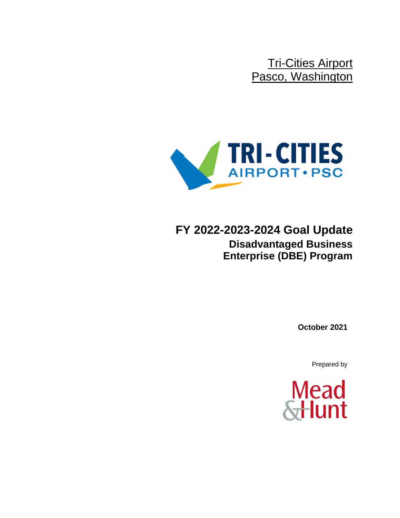Tri-Cities Airport Pasco, Washington



**FY 2022-2023-2024 Goal Update Disadvantaged Business Enterprise (DBE) Program**

**October 2021**

Prepared by

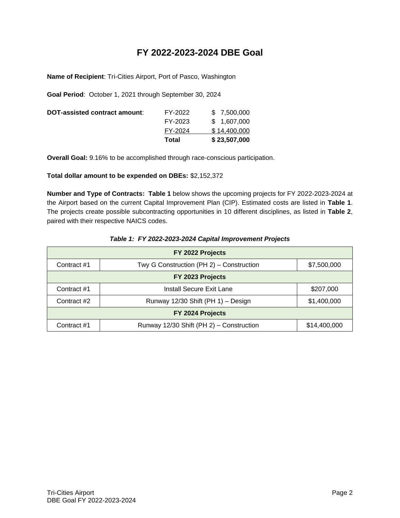# **FY 2022-2023-2024 DBE Goal**

**Name of Recipient**: Tri-Cities Airport, Port of Pasco, Washington

**Goal Period**: October 1, 2021 through September 30, 2024

|         | \$23,507,000 |
|---------|--------------|
| FY-2024 | \$14,400,000 |
| FY-2023 | \$1,607,000  |
| FY-2022 | \$ 7,500,000 |
|         | Total        |

**Overall Goal:** 9.16% to be accomplished through race-conscious participation.

## **Total dollar amount to be expended on DBEs:** \$2,152,372

**Number and Type of Contracts: Table 1** below shows the upcoming projects for FY 2022-2023-2024 at the Airport based on the current Capital Improvement Plan (CIP). Estimated costs are listed in **Table 1**. The projects create possible subcontracting opportunities in 10 different disciplines, as listed in **Table 2**, paired with their respective NAICS codes.

| FY 2022 Projects |                                          |              |  |  |  |  |
|------------------|------------------------------------------|--------------|--|--|--|--|
| Contract #1      | \$7,500,000                              |              |  |  |  |  |
|                  | FY 2023 Projects                         |              |  |  |  |  |
| Contract #1      | Install Secure Exit Lane                 | \$207,000    |  |  |  |  |
| Contract #2      | Runway 12/30 Shift (PH 1) - Design       |              |  |  |  |  |
| FY 2024 Projects |                                          |              |  |  |  |  |
| Contract #1      | Runway 12/30 Shift (PH 2) - Construction | \$14,400,000 |  |  |  |  |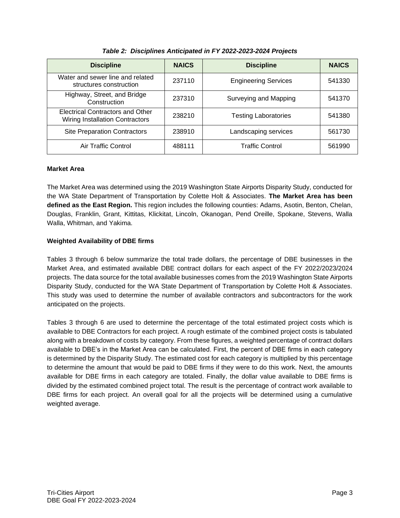| <b>Discipline</b>                                                          | <b>NAICS</b><br><b>Discipline</b> |                             | <b>NAICS</b> |
|----------------------------------------------------------------------------|-----------------------------------|-----------------------------|--------------|
| Water and sewer line and related<br>structures construction                | 237110                            | <b>Engineering Services</b> | 541330       |
| Highway, Street, and Bridge<br>Construction                                | 237310                            | Surveying and Mapping       | 541370       |
| Electrical Contractors and Other<br><b>Wiring Installation Contractors</b> | 238210                            | <b>Testing Laboratories</b> | 541380       |
| <b>Site Preparation Contractors</b>                                        | 238910                            | Landscaping services        | 561730       |
| Air Traffic Control                                                        | 488111                            | <b>Traffic Control</b>      | 561990       |

*Table 2: Disciplines Anticipated in FY 2022-2023-2024 Projects*

#### **Market Area**

The Market Area was determined using the 2019 Washington State Airports Disparity Study, conducted for the WA State Department of Transportation by Colette Holt & Associates. **The Market Area has been defined as the East Region.** This region includes the following counties: Adams, Asotin, Benton, Chelan, Douglas, Franklin, Grant, Kittitas, Klickitat, Lincoln, Okanogan, Pend Oreille, Spokane, Stevens, Walla Walla, Whitman, and Yakima.

## **Weighted Availability of DBE firms**

Tables 3 through 6 below summarize the total trade dollars, the percentage of DBE businesses in the Market Area, and estimated available DBE contract dollars for each aspect of the FY 2022/2023/2024 projects. The data source for the total available businesses comes from the 2019 Washington State Airports Disparity Study, conducted for the WA State Department of Transportation by Colette Holt & Associates. This study was used to determine the number of available contractors and subcontractors for the work anticipated on the projects.

Tables 3 through 6 are used to determine the percentage of the total estimated project costs which is available to DBE Contractors for each project. A rough estimate of the combined project costs is tabulated along with a breakdown of costs by category. From these figures, a weighted percentage of contract dollars available to DBE's in the Market Area can be calculated. First, the percent of DBE firms in each category is determined by the Disparity Study. The estimated cost for each category is multiplied by this percentage to determine the amount that would be paid to DBE firms if they were to do this work. Next, the amounts available for DBE firms in each category are totaled. Finally, the dollar value available to DBE firms is divided by the estimated combined project total. The result is the percentage of contract work available to DBE firms for each project. An overall goal for all the projects will be determined using a cumulative weighted average.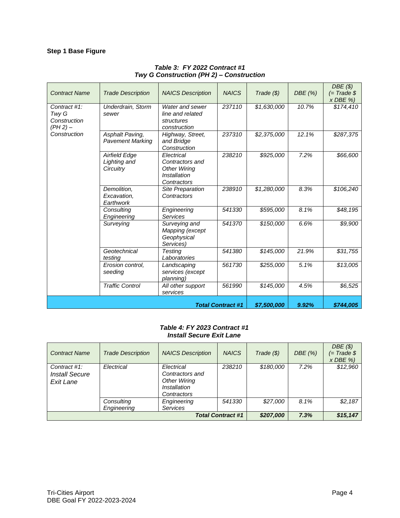# **Step 1 Base Figure**

| <b>Contract Name</b>                              | <b>Trade Description</b>                          | <b>NAICS Description</b>                                                            | <b>NAICS</b> | Trade ( \$) | DBE (%) | DBE(S)<br>$(= Trade $$<br>$x$ DBE $\%$ ) |
|---------------------------------------------------|---------------------------------------------------|-------------------------------------------------------------------------------------|--------------|-------------|---------|------------------------------------------|
| Contract #1:<br>Twy G<br>Construction<br>(PH 2) – | Underdrain, Storm<br>sewer                        | Water and sewer<br>line and related<br>structures<br>construction                   | 237110       | \$1,630,000 | 10.7%   | \$174,410                                |
| Construction                                      | Asphalt Paving,<br><b>Pavement Marking</b>        | Highway, Street,<br>and Bridge<br>Construction                                      | 237310       | \$2,375,000 | 12.1%   | \$287,375                                |
|                                                   | <b>Airfield Edge</b><br>Lighting and<br>Circuitry | Electrical<br>Contractors and<br><b>Other Wiring</b><br>Installation<br>Contractors | 238210       | \$925,000   | 7.2%    | \$66,600                                 |
|                                                   | Demolition,<br>Excavation,<br>Earthwork           | Site Preparation<br>Contractors                                                     | 238910       | \$1,280,000 | 8.3%    | \$106,240                                |
|                                                   | Consulting<br>Engineering                         | Engineering<br>Services                                                             | 541330       | \$595,000   | 8.1%    | \$48,195                                 |
|                                                   | Surveying                                         | Surveying and<br>Mapping (except<br>Geophysical<br>Services)                        | 541370       | \$150,000   | 6.6%    | \$9,900                                  |
|                                                   | Geotechnical<br>testing                           | Testing<br>Laboratories                                                             | 541380       | \$145,000   | 21.9%   | \$31,755                                 |
|                                                   | Erosion control,<br>seeding                       | Landscaping<br>services (except<br>planning)                                        | 561730       | \$255,000   | 5.1%    | \$13,005                                 |
|                                                   | <b>Traffic Control</b>                            | All other support<br>services                                                       | 561990       | \$145,000   | 4.5%    | \$6,525                                  |
| <b>Total Contract #1</b>                          |                                                   |                                                                                     |              | \$7,500,000 | 9.92%   | \$744,005                                |

# *Table 3: FY 2022 Contract #1 Twy G Construction (PH 2) – Construction*

#### *Table 4: FY 2023 Contract #1 Install Secure Exit Lane*

| <b>Contract Name</b>                               | <b>Trade Description</b>  | <b>NAICS Description</b>                                                            | <b>NAICS</b> | Trade ( \$) | DBE(%)   | DBE(S)<br>$(= Trade $)$<br>$x$ DBE $\%$ ) |
|----------------------------------------------------|---------------------------|-------------------------------------------------------------------------------------|--------------|-------------|----------|-------------------------------------------|
| Contract #1:<br><b>Install Secure</b><br>Exit Lane | Electrical                | Electrical<br>Contractors and<br><b>Other Wiring</b><br>Installation<br>Contractors | 238210       | \$180,000   | 7.2%     | \$12,960                                  |
|                                                    | Consulting<br>Engineering | Engineering<br><b>Services</b>                                                      | 541330       | \$27,000    | 8.1%     | \$2,187                                   |
| <b>Total Contract #1</b>                           |                           |                                                                                     | \$207,000    | 7.3%        | \$15,147 |                                           |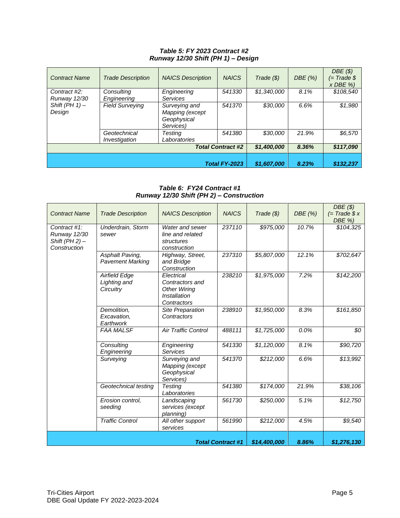#### *Table 5: FY 2023 Contract #2 Runway 12/30 Shift (PH 1) – Design*

| <b>Contract Name</b>     | <b>Trade Description</b> | <b>NAICS Description</b> | <b>NAICS</b>         | Trade (\$)  | DBE (%) | DBE(S)<br>$(= Trade $)$<br>$x$ DBE $\%$ ) |
|--------------------------|--------------------------|--------------------------|----------------------|-------------|---------|-------------------------------------------|
| Contract #2:             | Consultina               | Engineering              | 541330               | \$1,340,000 | 8.1%    | \$108.540                                 |
| <b>Runway 12/30</b>      | Engineering              | Services                 |                      |             |         |                                           |
| Shift (PH $1$ ) -        | <b>Field Surveying</b>   | Surveying and            | 541370               | \$30,000    | 6.6%    | \$1,980                                   |
| Design                   |                          | Mapping (except          |                      |             |         |                                           |
|                          |                          | Geophysical              |                      |             |         |                                           |
|                          |                          | Services)                |                      |             |         |                                           |
|                          | Geotechnical             | Testing                  | 541380               | \$30,000    | 21.9%   | \$6,570                                   |
|                          | Investigation            | Laboratories             |                      |             |         |                                           |
| <b>Total Contract #2</b> |                          | \$1,400,000              | 8.36%                | \$117,090   |         |                                           |
|                          |                          |                          |                      |             |         |                                           |
|                          |                          |                          | <b>Total FY-2023</b> | \$1,607,000 | 8.23%   | \$132,237                                 |

*Table 6: FY24 Contract #1 Runway 12/30 Shift (PH 2) – Construction*

| <b>Contract Name</b>                                                    | <b>Trade Description</b>                          | <b>NAICS Description</b>                                                            | <b>NAICS</b> | Trade $(\$)$ | DBE (%) | DBE(S)<br>$(= Trade $ x$<br>DBE %) |
|-------------------------------------------------------------------------|---------------------------------------------------|-------------------------------------------------------------------------------------|--------------|--------------|---------|------------------------------------|
| Contract #1:<br><b>Runway 12/30</b><br>Shift (PH 2) $-$<br>Construction | Underdrain, Storm<br>sewer                        | Water and sewer<br>line and related<br>structures<br>construction                   | 237110       | \$975,000    | 10.7%   | \$104,325                          |
|                                                                         | Asphalt Paving,<br><b>Pavement Marking</b>        | Highway, Street,<br>and Bridge<br>Construction                                      | 237310       | \$5,807,000  | 12.1%   | \$702,647                          |
|                                                                         | <b>Airfield Edge</b><br>Lighting and<br>Circuitry | Electrical<br>Contractors and<br><b>Other Wiring</b><br>Installation<br>Contractors | 238210       | \$1,975,000  | 7.2%    | \$142,200                          |
|                                                                         | Demolition,<br>Excavation,<br>Earthwork           | Site Preparation<br>Contractors                                                     | 238910       | \$1,950,000  | 8.3%    | \$161,850                          |
|                                                                         | <b>FAA MALSF</b>                                  | Air Traffic Control                                                                 | 488111       | \$1,725,000  | 0.0%    | \$0                                |
|                                                                         | Consulting<br>Engineering                         | Engineering<br><b>Services</b>                                                      | 541330       | \$1,120,000  | 8.1%    | \$90,720                           |
|                                                                         | Surveying                                         | Surveying and<br>Mapping (except<br>Geophysical<br>Services)                        | 541370       | \$212,000    | 6.6%    | \$13,992                           |
|                                                                         | Geotechnical testing                              | <b>Testing</b><br>Laboratories                                                      | 541380       | \$174,000    | 21.9%   | \$38,106                           |
|                                                                         | Erosion control,<br>seeding                       | Landscaping<br>services (except<br>planning)                                        | 561730       | \$250,000    | 5.1%    | \$12,750                           |
|                                                                         | <b>Traffic Control</b>                            | All other support<br>services                                                       | 561990       | \$212,000    | 4.5%    | $\sqrt{$9,540}$                    |
| <b>Total Contract #1</b>                                                |                                                   |                                                                                     |              | \$14,400,000 | 8.86%   | \$1,276,130                        |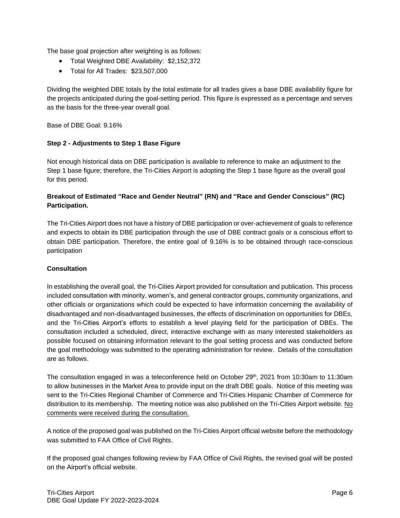The base goal projection after weighting is as follows:

- Total Weighted DBE Availability: \$2,152,372
- Total for All Trades: \$23,507,000

Dividing the weighted DBE totals by the total estimate for all trades gives a base DBE availability figure for the projects anticipated during the goal-setting period. This figure is expressed as a percentage and serves as the basis for the three-year overall goal.

Base of DBE Goal: 9.16%

## **Step 2 - Adjustments to Step 1 Base Figure**

Not enough historical data on DBE participation is available to reference to make an adjustment to the Step 1 base figure; therefore, the Tri-Cities Airport is adopting the Step 1 base figure as the overall goal for this period.

# **Breakout of Estimated "Race and Gender Neutral" (RN) and "Race and Gender Conscious" (RC) Participation.**

The Tri-Cities Airport does not have a history of DBE participation or over-achievement of goals to reference and expects to obtain its DBE participation through the use of DBE contract goals or a conscious effort to obtain DBE participation. Therefore, the entire goal of 9.16% is to be obtained through race-conscious participation

#### **Consultation**

In establishing the overall goal, the Tri-Cities Airport provided for consultation and publication. This process included consultation with minority, women's, and general contractor groups, community organizations, and other officials or organizations which could be expected to have information concerning the availability of disadvantaged and non-disadvantaged businesses, the effects of discrimination on opportunities for DBEs, and the Tri-Cities Airport's efforts to establish a level playing field for the participation of DBEs. The consultation included a scheduled, direct, interactive exchange with as many interested stakeholders as possible focused on obtaining information relevant to the goal setting process and was conducted before the goal methodology was submitted to the operating administration for review. Details of the consultation are as follows.

The consultation engaged in was a teleconference held on October 29<sup>th</sup>, 2021 from 10:30am to 11:30am to allow businesses in the Market Area to provide input on the draft DBE goals. Notice of this meeting was sent to the Tri-Cities Regional Chamber of Commerce and Tri-Cities Hispanic Chamber of Commerce for distribution to its membership. The meeting notice was also published on the Tri-Cities Airport website. No comments were received during the consultation.

A notice of the proposed goal was published on the Tri-Cities Airport official website before the methodology was submitted to FAA Office of Civil Rights.

If the proposed goal changes following review by FAA Office of Civil Rights, the revised goal will be posted on the Airport's official website.